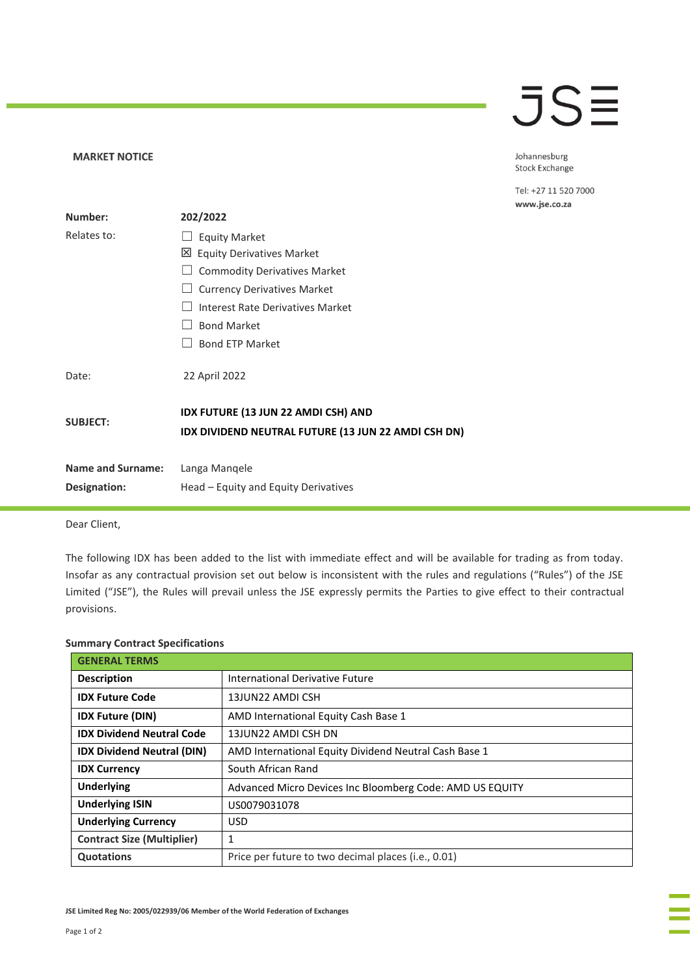## **JSE**

Johannesburg Stock Exchange

Tel: +27 11 520 7000 www.jse.co.za

| Number:                  | 202/2022                                                                                   |
|--------------------------|--------------------------------------------------------------------------------------------|
| Relates to:              | <b>Equity Market</b>                                                                       |
|                          | ⊠<br><b>Equity Derivatives Market</b>                                                      |
|                          | <b>Commodity Derivatives Market</b>                                                        |
|                          | <b>Currency Derivatives Market</b>                                                         |
|                          | Interest Rate Derivatives Market                                                           |
|                          | <b>Bond Market</b>                                                                         |
|                          | <b>Bond ETP Market</b>                                                                     |
| Date:                    | 22 April 2022                                                                              |
| <b>SUBJECT:</b>          | IDX FUTURE (13 JUN 22 AMDI CSH) AND<br>IDX DIVIDEND NEUTRAL FUTURE (13 JUN 22 AMDI CSH DN) |
| <b>Name and Surname:</b> | Langa Mangele                                                                              |
| Designation:             | Head - Equity and Equity Derivatives                                                       |

Dear Client,

**MARKET NOTICE** 

The following IDX has been added to the list with immediate effect and will be available for trading as from today. Insofar as any contractual provision set out below is inconsistent with the rules and regulations ("Rules") of the JSE Limited ("JSE"), the Rules will prevail unless the JSE expressly permits the Parties to give effect to their contractual provisions.

| <b>GENERAL TERMS</b>              |                                                              |
|-----------------------------------|--------------------------------------------------------------|
| <b>Description</b>                | International Derivative Future                              |
| <b>IDX Future Code</b>            | 13JUN22 AMDI CSH                                             |
| <b>IDX Future (DIN)</b>           | AMD International Equity Cash Base 1                         |
| <b>IDX Dividend Neutral Code</b>  | 13JUN22 AMDI CSH DN                                          |
| <b>IDX Dividend Neutral (DIN)</b> | AMD International Equity Dividend Neutral Cash Base 1        |
| <b>IDX Currency</b>               | South African Rand                                           |
| <b>Underlying</b>                 | Advanced Micro Devices Inc Bloomberg Code: AMD US EQUITY     |
| <b>Underlying ISIN</b>            | US0079031078                                                 |
| <b>Underlying Currency</b>        | <b>USD</b>                                                   |
| <b>Contract Size (Multiplier)</b> | 1                                                            |
| <b>Quotations</b>                 | Price per future to two decimal places ( <i>i.e.</i> , 0.01) |

## **Summary Contract Specifications**